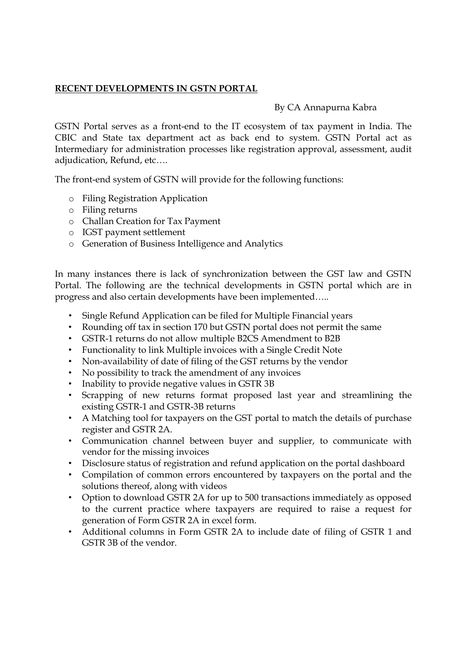#### **RECENT DEVELOPMENTS IN GSTN PORTAL**

#### By CA Annapurna Kabra

GSTN Portal serves as a front-end to the IT ecosystem of tax payment in India. The CBIC and State tax department act as back end to system. GSTN Portal act as Intermediary for administration processes like registration approval, assessment, audit adjudication, Refund, etc….

The front-end system of GSTN will provide for the following functions:

- o Filing Registration Application
- o Filing returns
- o Challan Creation for Tax Payment
- o IGST payment settlement
- o Generation of Business Intelligence and Analytics

In many instances there is lack of synchronization between the GST law and GSTN Portal. The following are the technical developments in GSTN portal which are in progress and also certain developments have been implemented…..

- Single Refund Application can be filed for Multiple Financial years
- Rounding off tax in section 170 but GSTN portal does not permit the same
- GSTR-1 returns do not allow multiple B2CS Amendment to B2B
- Functionality to link Multiple invoices with a Single Credit Note
- Non-availability of date of filing of the GST returns by the vendor
- No possibility to track the amendment of any invoices
- Inability to provide negative values in GSTR 3B
- Scrapping of new returns format proposed last year and streamlining the existing GSTR-1 and GSTR-3B returns
- A Matching tool for taxpayers on the GST portal to match the details of purchase register and GSTR 2A.
- Communication channel between buyer and supplier, to communicate with vendor for the missing invoices
- Disclosure status of registration and refund application on the portal dashboard
- Compilation of common errors encountered by taxpayers on the portal and the solutions thereof, along with videos
- Option to download GSTR 2A for up to 500 transactions immediately as opposed to the current practice where taxpayers are required to raise a request for generation of Form GSTR 2A in excel form.
- Additional columns in Form GSTR 2A to include date of filing of GSTR 1 and GSTR 3B of the vendor.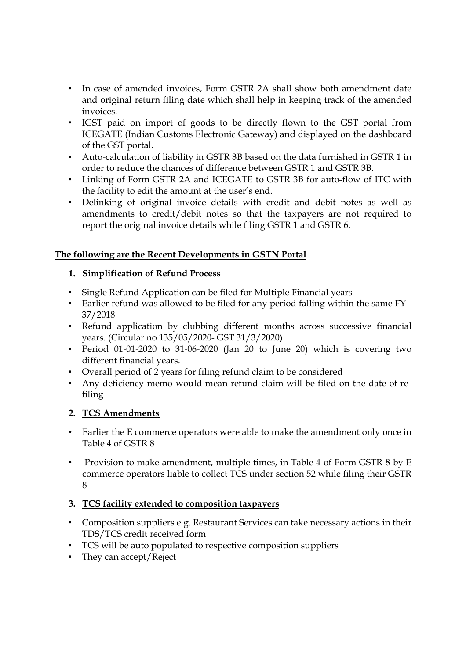- In case of amended invoices, Form GSTR 2A shall show both amendment date and original return filing date which shall help in keeping track of the amended invoices.
- IGST paid on import of goods to be directly flown to the GST portal from ICEGATE (Indian Customs Electronic Gateway) and displayed on the dashboard of the GST portal.
- Auto-calculation of liability in GSTR 3B based on the data furnished in GSTR 1 in order to reduce the chances of difference between GSTR 1 and GSTR 3B.
- Linking of Form GSTR 2A and ICEGATE to GSTR 3B for auto-flow of ITC with the facility to edit the amount at the user's end.
- Delinking of original invoice details with credit and debit notes as well as amendments to credit/debit notes so that the taxpayers are not required to report the original invoice details while filing GSTR 1 and GSTR 6.

## **The following are the Recent Developments in GSTN Portal**

# **1. Simplification of Refund Process**

- Single Refund Application can be filed for Multiple Financial years
- Earlier refund was allowed to be filed for any period falling within the same FY 37/2018
- Refund application by clubbing different months across successive financial years. (Circular no 135/05/2020- GST 31/3/2020)
- Period 01-01-2020 to 31-06-2020 (Jan 20 to June 20) which is covering two different financial years.
- Overall period of 2 years for filing refund claim to be considered
- Any deficiency memo would mean refund claim will be filed on the date of refiling

# **2. TCS Amendments**

- Earlier the E commerce operators were able to make the amendment only once in Table 4 of GSTR 8
- Provision to make amendment, multiple times, in Table 4 of Form GSTR-8 by E commerce operators liable to collect TCS under section 52 while filing their GSTR 8

# **3. TCS facility extended to composition taxpayers**

- Composition suppliers e.g. Restaurant Services can take necessary actions in their TDS/TCS credit received form
- TCS will be auto populated to respective composition suppliers
- They can accept/Reject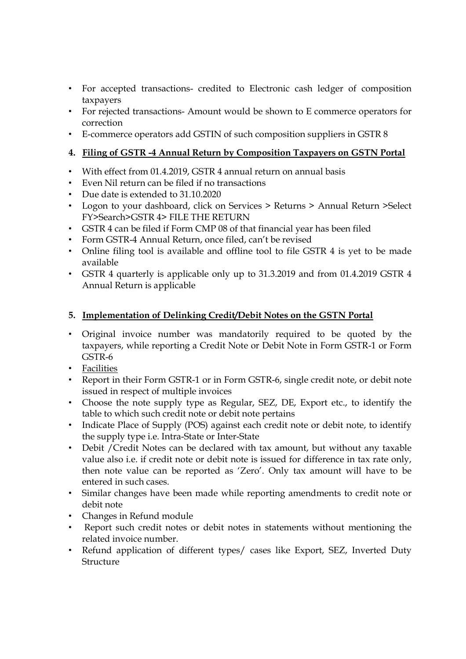- For accepted transactions- credited to Electronic cash ledger of composition taxpayers
- For rejected transactions- Amount would be shown to E commerce operators for correction
- E-commerce operators add GSTIN of such composition suppliers in GSTR 8

### **4. Filing of GSTR -4 Annual Return by Composition Taxpayers on GSTN Portal**

- With effect from 01.4.2019, GSTR 4 annual return on annual basis
- Even Nil return can be filed if no transactions
- Due date is extended to 31.10.2020
- Logon to your dashboard, click on Services > Returns > Annual Return > Select FY>Search>GSTR 4> FILE THE RETURN
- GSTR 4 can be filed if Form CMP 08 of that financial year has been filed
- Form GSTR-4 Annual Return, once filed, can't be revised
- Online filing tool is available and offline tool to file GSTR 4 is yet to be made available
- GSTR 4 quarterly is applicable only up to 31.3.2019 and from 01.4.2019 GSTR 4 Annual Return is applicable

## **5. Implementation of Delinking Credit/Debit Notes on the GSTN Portal**

- Original invoice number was mandatorily required to be quoted by the taxpayers, while reporting a Credit Note or Debit Note in Form GSTR-1 or Form GSTR-6
- Facilities
- Report in their Form GSTR-1 or in Form GSTR-6, single credit note, or debit note issued in respect of multiple invoices
- Choose the note supply type as Regular, SEZ, DE, Export etc., to identify the table to which such credit note or debit note pertains
- Indicate Place of Supply (POS) against each credit note or debit note, to identify the supply type i.e. Intra-State or Inter-State
- Debit /Credit Notes can be declared with tax amount, but without any taxable value also i.e. if credit note or debit note is issued for difference in tax rate only, then note value can be reported as 'Zero'. Only tax amount will have to be entered in such cases.
- Similar changes have been made while reporting amendments to credit note or debit note
- Changes in Refund module
- Report such credit notes or debit notes in statements without mentioning the related invoice number.
- Refund application of different types/ cases like Export, SEZ, Inverted Duty Structure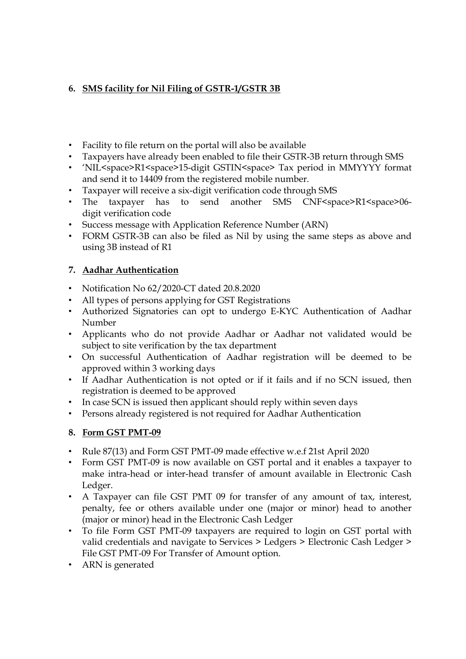# **6. SMS facility for Nil Filing of GSTR-1/GSTR 3B**

- Facility to file return on the portal will also be available
- Taxpayers have already been enabled to file their GSTR-3B return through SMS
- 'NIL<space>R1<space>15-digit GSTIN<space> Tax period in MMYYYY format and send it to 14409 from the registered mobile number.
- Taxpayer will receive a six-digit verification code through SMS
- The taxpayer has to send another SMS CNF<space>R1<space>06digit verification code
- Success message with Application Reference Number (ARN)
- FORM GSTR-3B can also be filed as Nil by using the same steps as above and using 3B instead of R1

#### **7. Aadhar Authentication**

- Notification No 62/2020-CT dated 20.8.2020
- All types of persons applying for GST Registrations
- Authorized Signatories can opt to undergo E-KYC Authentication of Aadhar Number
- Applicants who do not provide Aadhar or Aadhar not validated would be subject to site verification by the tax department
- On successful Authentication of Aadhar registration will be deemed to be approved within 3 working days
- If Aadhar Authentication is not opted or if it fails and if no SCN issued, then registration is deemed to be approved
- In case SCN is issued then applicant should reply within seven days
- Persons already registered is not required for Aadhar Authentication

#### **8. Form GST PMT-09**

- Rule 87(13) and Form GST PMT-09 made effective w.e.f 21st April 2020
- Form GST PMT-09 is now available on GST portal and it enables a taxpayer to make intra-head or inter-head transfer of amount available in Electronic Cash Ledger.
- A Taxpayer can file GST PMT 09 for transfer of any amount of tax, interest, penalty, fee or others available under one (major or minor) head to another (major or minor) head in the Electronic Cash Ledger
- To file Form GST PMT-09 taxpayers are required to login on GST portal with valid credentials and navigate to Services > Ledgers > Electronic Cash Ledger > File GST PMT-09 For Transfer of Amount option.
- ARN is generated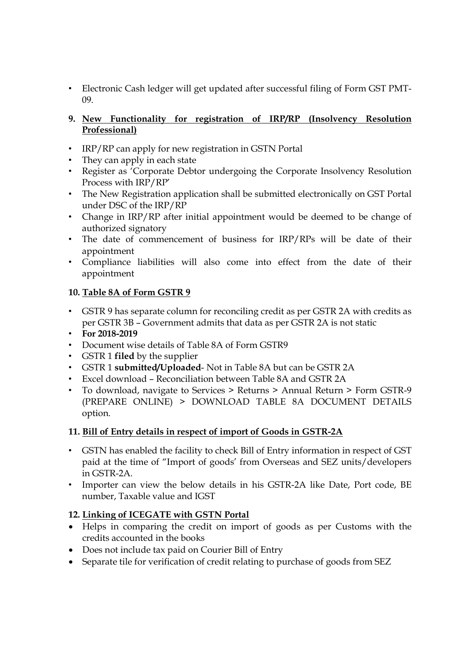- Electronic Cash ledger will get updated after successful filing of Form GST PMT-09.
- **9. New Functionality for registration of IRP/RP (Insolvency Resolution Professional)**
- IRP/RP can apply for new registration in GSTN Portal
- They can apply in each state
- Register as 'Corporate Debtor undergoing the Corporate Insolvency Resolution Process with IRP/RP'
- The New Registration application shall be submitted electronically on GST Portal under DSC of the IRP/RP
- Change in IRP/RP after initial appointment would be deemed to be change of authorized signatory
- The date of commencement of business for IRP/RPs will be date of their appointment
- Compliance liabilities will also come into effect from the date of their appointment

## **10. Table 8A of Form GSTR 9**

- GSTR 9 has separate column for reconciling credit as per GSTR 2A with credits as per GSTR 3B – Government admits that data as per GSTR 2A is not static
- **For 2018-2019**
- Document wise details of Table 8A of Form GSTR9
- GSTR 1 **filed** by the supplier
- GSTR 1 **submitted/Uploaded** Not in Table 8A but can be GSTR 2A
- Excel download Reconciliation between Table 8A and GSTR 2A
- To download, navigate to Services > Returns > Annual Return > Form GSTR-9 (PREPARE ONLINE) > DOWNLOAD TABLE 8A DOCUMENT DETAILS option.

#### **11. Bill of Entry details in respect of import of Goods in GSTR-2A**

- GSTN has enabled the facility to check Bill of Entry information in respect of GST paid at the time of "Import of goods' from Overseas and SEZ units/developers in GSTR-2A.
- Importer can view the below details in his GSTR-2A like Date, Port code, BE number, Taxable value and IGST

#### **12. Linking of ICEGATE with GSTN Portal**

- Helps in comparing the credit on import of goods as per Customs with the credits accounted in the books
- Does not include tax paid on Courier Bill of Entry
- Separate tile for verification of credit relating to purchase of goods from SEZ